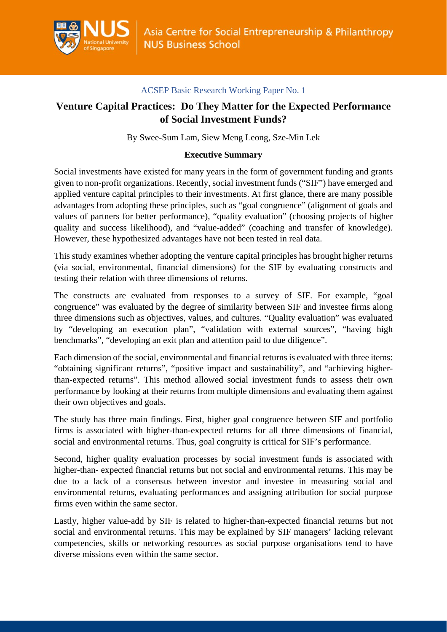

# **Venture Capital Practices: Do They Matter for the Expected Performance of Social Investment Funds?**

By Swee-Sum Lam, Siew Meng Leong, Sze-Min Lek

# **Executive Summary**

Social investments have existed for many years in the form of government funding and grants given to non-profit organizations. Recently, social investment funds ("SIF") have emerged and applied venture capital principles to their investments. At first glance, there are many possible advantages from adopting these principles, such as "goal congruence" (alignment of goals and values of partners for better performance), "quality evaluation" (choosing projects of higher quality and success likelihood), and "value-added" (coaching and transfer of knowledge). However, these hypothesized advantages have not been tested in real data.

This study examines whether adopting the venture capital principles has brought higher returns (via social, environmental, financial dimensions) for the SIF by evaluating constructs and testing their relation with three dimensions of returns.

The constructs are evaluated from responses to a survey of SIF. For example, "goal congruence" was evaluated by the degree of similarity between SIF and investee firms along three dimensions such as objectives, values, and cultures. "Quality evaluation" was evaluated by "developing an execution plan", "validation with external sources", "having high benchmarks", "developing an exit plan and attention paid to due diligence".

Each dimension of the social, environmental and financial returns is evaluated with three items: "obtaining significant returns", "positive impact and sustainability", and "achieving higherthan-expected returns". This method allowed social investment funds to assess their own performance by looking at their returns from multiple dimensions and evaluating them against their own objectives and goals.

The study has three main findings. First, higher goal congruence between SIF and portfolio firms is associated with higher-than-expected returns for all three dimensions of financial, social and environmental returns. Thus, goal congruity is critical for SIF's performance.

Second, higher quality evaluation processes by social investment funds is associated with higher-than- expected financial returns but not social and environmental returns. This may be due to a lack of a consensus between investor and investee in measuring social and environmental returns, evaluating performances and assigning attribution for social purpose firms even within the same sector.

Lastly, higher value-add by SIF is related to higher-than-expected financial returns but not social and environmental returns. This may be explained by SIF managers' lacking relevant competencies, skills or networking resources as social purpose organisations tend to have diverse missions even within the same sector.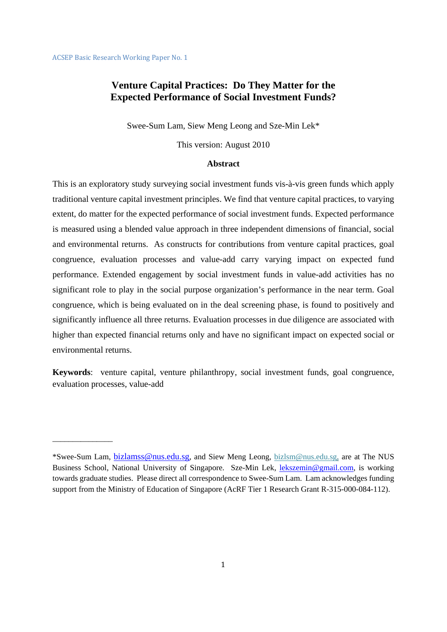\_\_\_\_\_\_\_\_\_\_\_\_\_\_\_

# **Venture Capital Practices: Do They Matter for the Expected Performance of Social Investment Funds?**

Swee-Sum Lam, Siew Meng Leong and Sze-Min Lek\*

This version: August 2010

### **Abstract**

This is an exploratory study surveying social investment funds vis-à-vis green funds which apply traditional venture capital investment principles. We find that venture capital practices, to varying extent, do matter for the expected performance of social investment funds. Expected performance is measured using a blended value approach in three independent dimensions of financial, social and environmental returns. As constructs for contributions from venture capital practices, goal congruence, evaluation processes and value-add carry varying impact on expected fund performance. Extended engagement by social investment funds in value-add activities has no significant role to play in the social purpose organization's performance in the near term. Goal congruence, which is being evaluated on in the deal screening phase, is found to positively and significantly influence all three returns. Evaluation processes in due diligence are associated with higher than expected financial returns only and have no significant impact on expected social or environmental returns.

**Keywords**: venture capital, venture philanthropy, social investment funds, goal congruence, evaluation processes, value-add

<sup>\*</sup>Swee-Sum Lam, bizlamss@nus.edu.sg, and Siew Meng Leong, bizlsm@nus.edu.sg, are at The NUS Business School, National University of Singapore. Sze-Min Lek, lekszemin@gmail.com, is working towards graduate studies. Please direct all correspondence to Swee-Sum Lam. Lam acknowledges funding support from the Ministry of Education of Singapore (AcRF Tier 1 Research Grant R-315-000-084-112).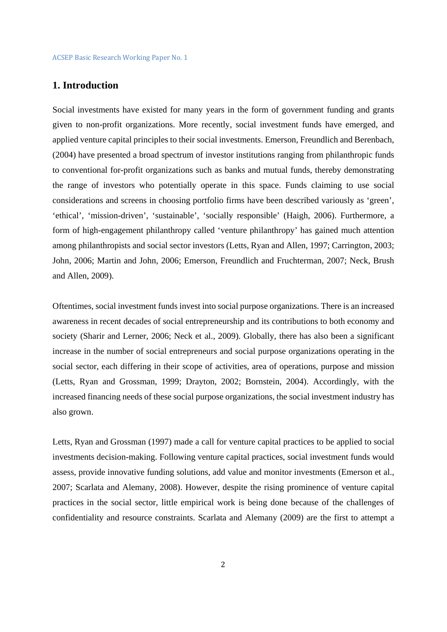# **1. Introduction**

Social investments have existed for many years in the form of government funding and grants given to non-profit organizations. More recently, social investment funds have emerged, and applied venture capital principles to their social investments. Emerson, Freundlich and Berenbach, (2004) have presented a broad spectrum of investor institutions ranging from philanthropic funds to conventional for-profit organizations such as banks and mutual funds, thereby demonstrating the range of investors who potentially operate in this space. Funds claiming to use social considerations and screens in choosing portfolio firms have been described variously as 'green', 'ethical', 'mission-driven', 'sustainable', 'socially responsible' (Haigh, 2006). Furthermore, a form of high-engagement philanthropy called 'venture philanthropy' has gained much attention among philanthropists and social sector investors (Letts, Ryan and Allen, 1997; Carrington, 2003; John, 2006; Martin and John, 2006; Emerson, Freundlich and Fruchterman, 2007; Neck, Brush and Allen, 2009).

Oftentimes, social investment funds invest into social purpose organizations. There is an increased awareness in recent decades of social entrepreneurship and its contributions to both economy and society (Sharir and Lerner, 2006; Neck et al., 2009). Globally, there has also been a significant increase in the number of social entrepreneurs and social purpose organizations operating in the social sector, each differing in their scope of activities, area of operations, purpose and mission (Letts, Ryan and Grossman, 1999; Drayton, 2002; Bornstein, 2004). Accordingly, with the increased financing needs of these social purpose organizations, the social investment industry has also grown.

Letts, Ryan and Grossman (1997) made a call for venture capital practices to be applied to social investments decision-making. Following venture capital practices, social investment funds would assess, provide innovative funding solutions, add value and monitor investments (Emerson et al., 2007; Scarlata and Alemany, 2008). However, despite the rising prominence of venture capital practices in the social sector, little empirical work is being done because of the challenges of confidentiality and resource constraints. Scarlata and Alemany (2009) are the first to attempt a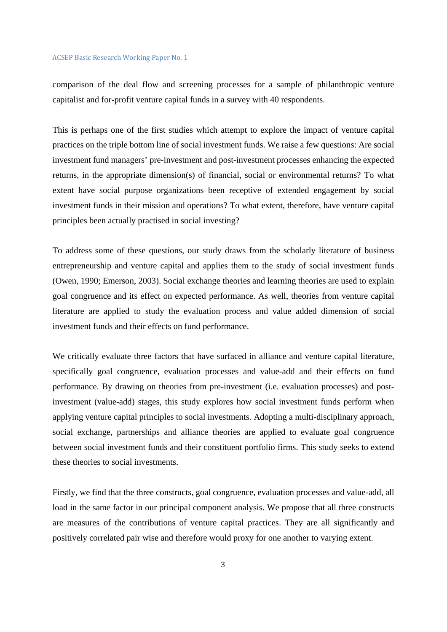comparison of the deal flow and screening processes for a sample of philanthropic venture capitalist and for-profit venture capital funds in a survey with 40 respondents.

This is perhaps one of the first studies which attempt to explore the impact of venture capital practices on the triple bottom line of social investment funds. We raise a few questions: Are social investment fund managers' pre-investment and post-investment processes enhancing the expected returns, in the appropriate dimension(s) of financial, social or environmental returns? To what extent have social purpose organizations been receptive of extended engagement by social investment funds in their mission and operations? To what extent, therefore, have venture capital principles been actually practised in social investing?

To address some of these questions, our study draws from the scholarly literature of business entrepreneurship and venture capital and applies them to the study of social investment funds (Owen, 1990; Emerson, 2003). Social exchange theories and learning theories are used to explain goal congruence and its effect on expected performance. As well, theories from venture capital literature are applied to study the evaluation process and value added dimension of social investment funds and their effects on fund performance.

We critically evaluate three factors that have surfaced in alliance and venture capital literature, specifically goal congruence, evaluation processes and value-add and their effects on fund performance. By drawing on theories from pre-investment (i.e. evaluation processes) and postinvestment (value-add) stages, this study explores how social investment funds perform when applying venture capital principles to social investments. Adopting a multi-disciplinary approach, social exchange, partnerships and alliance theories are applied to evaluate goal congruence between social investment funds and their constituent portfolio firms. This study seeks to extend these theories to social investments.

Firstly, we find that the three constructs, goal congruence, evaluation processes and value-add, all load in the same factor in our principal component analysis. We propose that all three constructs are measures of the contributions of venture capital practices. They are all significantly and positively correlated pair wise and therefore would proxy for one another to varying extent.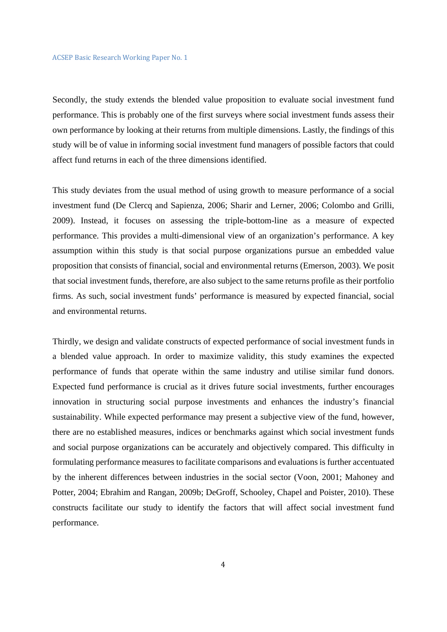Secondly, the study extends the blended value proposition to evaluate social investment fund performance. This is probably one of the first surveys where social investment funds assess their own performance by looking at their returns from multiple dimensions. Lastly, the findings of this study will be of value in informing social investment fund managers of possible factors that could affect fund returns in each of the three dimensions identified.

This study deviates from the usual method of using growth to measure performance of a social investment fund (De Clercq and Sapienza, 2006; Sharir and Lerner, 2006; Colombo and Grilli, 2009). Instead, it focuses on assessing the triple-bottom-line as a measure of expected performance. This provides a multi-dimensional view of an organization's performance. A key assumption within this study is that social purpose organizations pursue an embedded value proposition that consists of financial, social and environmental returns (Emerson, 2003). We posit that social investment funds, therefore, are also subject to the same returns profile as their portfolio firms. As such, social investment funds' performance is measured by expected financial, social and environmental returns.

Thirdly, we design and validate constructs of expected performance of social investment funds in a blended value approach. In order to maximize validity, this study examines the expected performance of funds that operate within the same industry and utilise similar fund donors. Expected fund performance is crucial as it drives future social investments, further encourages innovation in structuring social purpose investments and enhances the industry's financial sustainability. While expected performance may present a subjective view of the fund, however, there are no established measures, indices or benchmarks against which social investment funds and social purpose organizations can be accurately and objectively compared. This difficulty in formulating performance measures to facilitate comparisons and evaluations is further accentuated by the inherent differences between industries in the social sector (Voon, 2001; Mahoney and Potter, 2004; Ebrahim and Rangan, 2009b; DeGroff, Schooley, Chapel and Poister, 2010). These constructs facilitate our study to identify the factors that will affect social investment fund performance.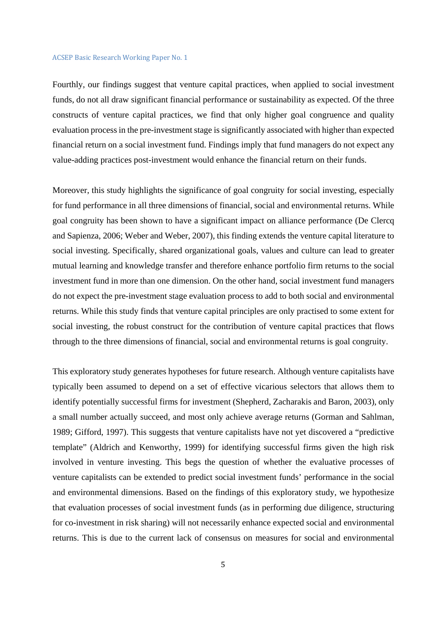Fourthly, our findings suggest that venture capital practices, when applied to social investment funds, do not all draw significant financial performance or sustainability as expected. Of the three constructs of venture capital practices, we find that only higher goal congruence and quality evaluation process in the pre-investment stage is significantly associated with higher than expected financial return on a social investment fund. Findings imply that fund managers do not expect any value-adding practices post-investment would enhance the financial return on their funds.

Moreover, this study highlights the significance of goal congruity for social investing, especially for fund performance in all three dimensions of financial, social and environmental returns. While goal congruity has been shown to have a significant impact on alliance performance (De Clercq and Sapienza, 2006; Weber and Weber, 2007), this finding extends the venture capital literature to social investing. Specifically, shared organizational goals, values and culture can lead to greater mutual learning and knowledge transfer and therefore enhance portfolio firm returns to the social investment fund in more than one dimension. On the other hand, social investment fund managers do not expect the pre-investment stage evaluation process to add to both social and environmental returns. While this study finds that venture capital principles are only practised to some extent for social investing, the robust construct for the contribution of venture capital practices that flows through to the three dimensions of financial, social and environmental returns is goal congruity.

This exploratory study generates hypotheses for future research. Although venture capitalists have typically been assumed to depend on a set of effective vicarious selectors that allows them to identify potentially successful firms for investment (Shepherd, Zacharakis and Baron, 2003), only a small number actually succeed, and most only achieve average returns (Gorman and Sahlman, 1989; Gifford, 1997). This suggests that venture capitalists have not yet discovered a "predictive template" (Aldrich and Kenworthy, 1999) for identifying successful firms given the high risk involved in venture investing. This begs the question of whether the evaluative processes of venture capitalists can be extended to predict social investment funds' performance in the social and environmental dimensions. Based on the findings of this exploratory study, we hypothesize that evaluation processes of social investment funds (as in performing due diligence, structuring for co-investment in risk sharing) will not necessarily enhance expected social and environmental returns. This is due to the current lack of consensus on measures for social and environmental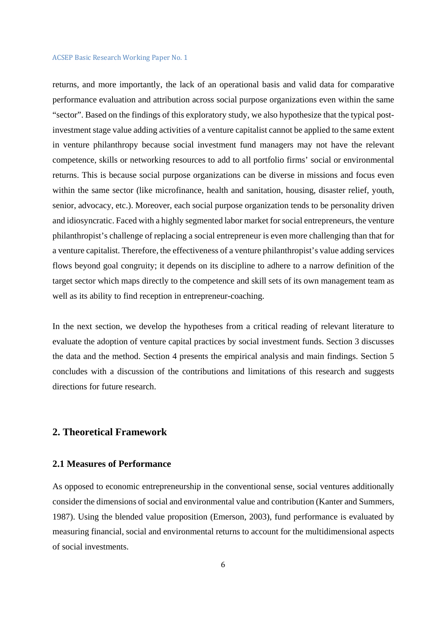returns, and more importantly, the lack of an operational basis and valid data for comparative performance evaluation and attribution across social purpose organizations even within the same "sector". Based on the findings of this exploratory study, we also hypothesize that the typical postinvestment stage value adding activities of a venture capitalist cannot be applied to the same extent in venture philanthropy because social investment fund managers may not have the relevant competence, skills or networking resources to add to all portfolio firms' social or environmental returns. This is because social purpose organizations can be diverse in missions and focus even within the same sector (like microfinance, health and sanitation, housing, disaster relief, youth, senior, advocacy, etc.). Moreover, each social purpose organization tends to be personality driven and idiosyncratic. Faced with a highly segmented labor market for social entrepreneurs, the venture philanthropist's challenge of replacing a social entrepreneur is even more challenging than that for a venture capitalist. Therefore, the effectiveness of a venture philanthropist's value adding services flows beyond goal congruity; it depends on its discipline to adhere to a narrow definition of the target sector which maps directly to the competence and skill sets of its own management team as well as its ability to find reception in entrepreneur-coaching.

In the next section, we develop the hypotheses from a critical reading of relevant literature to evaluate the adoption of venture capital practices by social investment funds. Section 3 discusses the data and the method. Section 4 presents the empirical analysis and main findings. Section 5 concludes with a discussion of the contributions and limitations of this research and suggests directions for future research.

# **2. Theoretical Framework**

# **2.1 Measures of Performance**

As opposed to economic entrepreneurship in the conventional sense, social ventures additionally consider the dimensions of social and environmental value and contribution (Kanter and Summers, 1987). Using the blended value proposition (Emerson, 2003), fund performance is evaluated by measuring financial, social and environmental returns to account for the multidimensional aspects of social investments.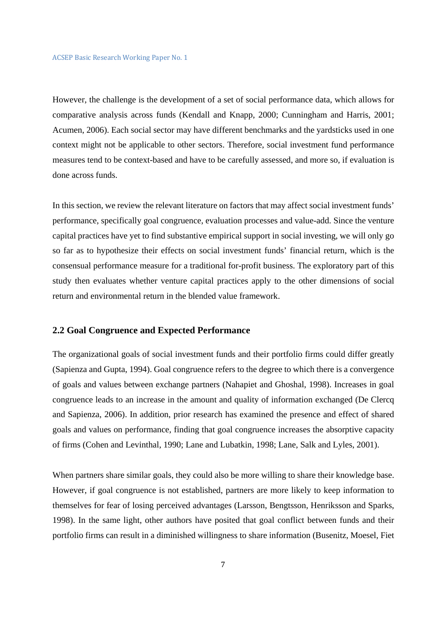However, the challenge is the development of a set of social performance data, which allows for comparative analysis across funds (Kendall and Knapp, 2000; Cunningham and Harris, 2001; Acumen, 2006). Each social sector may have different benchmarks and the yardsticks used in one context might not be applicable to other sectors. Therefore, social investment fund performance measures tend to be context-based and have to be carefully assessed, and more so, if evaluation is done across funds.

In this section, we review the relevant literature on factors that may affect social investment funds' performance, specifically goal congruence, evaluation processes and value-add. Since the venture capital practices have yet to find substantive empirical support in social investing, we will only go so far as to hypothesize their effects on social investment funds' financial return, which is the consensual performance measure for a traditional for-profit business. The exploratory part of this study then evaluates whether venture capital practices apply to the other dimensions of social return and environmental return in the blended value framework.

### **2.2 Goal Congruence and Expected Performance**

The organizational goals of social investment funds and their portfolio firms could differ greatly (Sapienza and Gupta, 1994). Goal congruence refers to the degree to which there is a convergence of goals and values between exchange partners (Nahapiet and Ghoshal, 1998). Increases in goal congruence leads to an increase in the amount and quality of information exchanged (De Clercq and Sapienza, 2006). In addition, prior research has examined the presence and effect of shared goals and values on performance, finding that goal congruence increases the absorptive capacity of firms (Cohen and Levinthal, 1990; Lane and Lubatkin, 1998; Lane, Salk and Lyles, 2001).

When partners share similar goals, they could also be more willing to share their knowledge base. However, if goal congruence is not established, partners are more likely to keep information to themselves for fear of losing perceived advantages (Larsson, Bengtsson, Henriksson and Sparks, 1998). In the same light, other authors have posited that goal conflict between funds and their portfolio firms can result in a diminished willingness to share information (Busenitz, Moesel, Fiet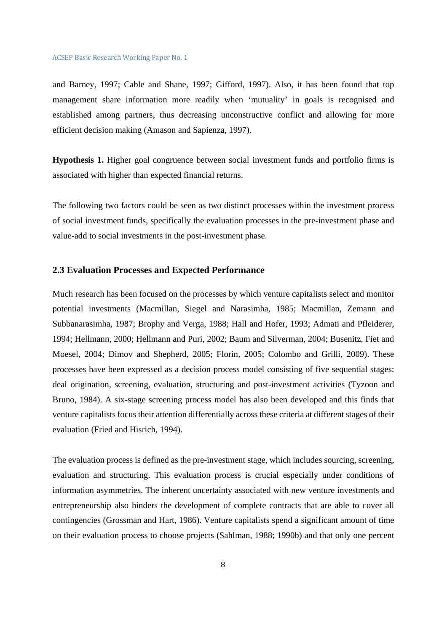and Barney, 1997; Cable and Shane, 1997; Gifford, 1997). Also, it has been found that top management share information more readily when 'mutuality' in goals is recognised and established among partners, thus decreasing unconstructive conflict and allowing for more efficient decision making (Amason and Sapienza, 1997).

**Hypothesis 1.** Higher goal congruence between social investment funds and portfolio firms is associated with higher than expected financial returns.

The following two factors could be seen as two distinct processes within the investment process of social investment funds, specifically the evaluation processes in the pre-investment phase and value-add to social investments in the post-investment phase.

## **2.3 Evaluation Processes and Expected Performance**

Much research has been focused on the processes by which venture capitalists select and monitor potential investments (Macmillan, Siegel and Narasimha, 1985; Macmillan, Zemann and Subbanarasimha, 1987; Brophy and Verga, 1988; Hall and Hofer, 1993; Admati and Pfleiderer, 1994; Hellmann, 2000; Hellmann and Puri, 2002; Baum and Silverman, 2004; Busenitz, Fiet and Moesel, 2004; Dimov and Shepherd, 2005; Florin, 2005; Colombo and Grilli, 2009). These processes have been expressed as a decision process model consisting of five sequential stages: deal origination, screening, evaluation, structuring and post-investment activities (Tyzoon and Bruno, 1984). A six-stage screening process model has also been developed and this finds that venture capitalists focus their attention differentially across these criteria at different stages of their evaluation (Fried and Hisrich, 1994).

The evaluation process is defined as the pre-investment stage, which includes sourcing, screening, evaluation and structuring. This evaluation process is crucial especially under conditions of information asymmetries. The inherent uncertainty associated with new venture investments and entrepreneurship also hinders the development of complete contracts that are able to cover all contingencies (Grossman and Hart, 1986). Venture capitalists spend a significant amount of time on their evaluation process to choose projects (Sahlman, 1988; 1990b) and that only one percent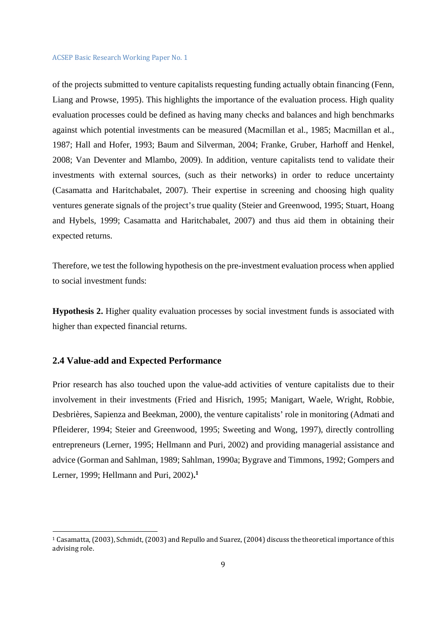of the projects submitted to venture capitalists requesting funding actually obtain financing (Fenn, Liang and Prowse, 1995). This highlights the importance of the evaluation process. High quality evaluation processes could be defined as having many checks and balances and high benchmarks against which potential investments can be measured (Macmillan et al., 1985; Macmillan et al., 1987; Hall and Hofer, 1993; Baum and Silverman, 2004; Franke, Gruber, Harhoff and Henkel, 2008; Van Deventer and Mlambo, 2009). In addition, venture capitalists tend to validate their investments with external sources, (such as their networks) in order to reduce uncertainty (Casamatta and Haritchabalet, 2007). Their expertise in screening and choosing high quality ventures generate signals of the project's true quality (Steier and Greenwood, 1995; Stuart, Hoang and Hybels, 1999; Casamatta and Haritchabalet, 2007) and thus aid them in obtaining their expected returns.

Therefore, we test the following hypothesis on the pre-investment evaluation process when applied to social investment funds:

**Hypothesis 2.** Higher quality evaluation processes by social investment funds is associated with higher than expected financial returns.

# **2.4 Value-add and Expected Performance**

 

Prior research has also touched upon the value-add activities of venture capitalists due to their involvement in their investments (Fried and Hisrich, 1995; Manigart, Waele, Wright, Robbie, Desbrières, Sapienza and Beekman, 2000), the venture capitalists' role in monitoring (Admati and Pfleiderer, 1994; Steier and Greenwood, 1995; Sweeting and Wong, 1997), directly controlling entrepreneurs (Lerner, 1995; Hellmann and Puri, 2002) and providing managerial assistance and advice (Gorman and Sahlman, 1989; Sahlman, 1990a; Bygrave and Timmons, 1992; Gompers and Lerner, 1999; Hellmann and Puri, 2002)**. 1**

<sup>&</sup>lt;sup>1</sup> Casamatta, (2003), Schmidt, (2003) and Repullo and Suarez, (2004) discuss the theoretical importance of this advising role.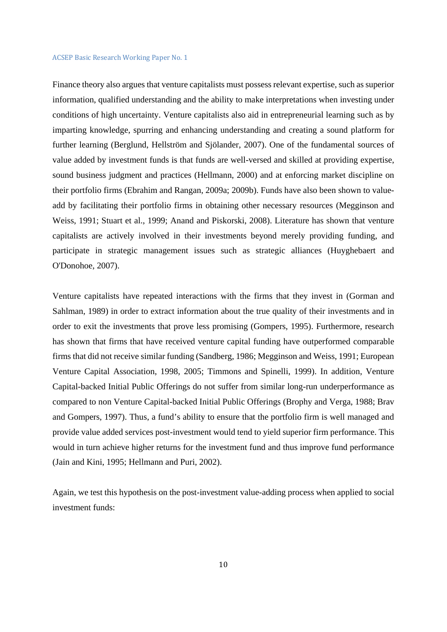Finance theory also argues that venture capitalists must possess relevant expertise, such as superior information, qualified understanding and the ability to make interpretations when investing under conditions of high uncertainty. Venture capitalists also aid in entrepreneurial learning such as by imparting knowledge, spurring and enhancing understanding and creating a sound platform for further learning (Berglund, Hellström and Sjölander, 2007). One of the fundamental sources of value added by investment funds is that funds are well-versed and skilled at providing expertise, sound business judgment and practices (Hellmann, 2000) and at enforcing market discipline on their portfolio firms (Ebrahim and Rangan, 2009a; 2009b). Funds have also been shown to valueadd by facilitating their portfolio firms in obtaining other necessary resources (Megginson and Weiss, 1991; Stuart et al., 1999; Anand and Piskorski, 2008). Literature has shown that venture capitalists are actively involved in their investments beyond merely providing funding, and participate in strategic management issues such as strategic alliances (Huyghebaert and O'Donohoe, 2007).

Venture capitalists have repeated interactions with the firms that they invest in (Gorman and Sahlman, 1989) in order to extract information about the true quality of their investments and in order to exit the investments that prove less promising (Gompers, 1995). Furthermore, research has shown that firms that have received venture capital funding have outperformed comparable firms that did not receive similar funding (Sandberg, 1986; Megginson and Weiss, 1991; European Venture Capital Association, 1998, 2005; Timmons and Spinelli, 1999). In addition, Venture Capital-backed Initial Public Offerings do not suffer from similar long-run underperformance as compared to non Venture Capital-backed Initial Public Offerings (Brophy and Verga, 1988; Brav and Gompers, 1997). Thus, a fund's ability to ensure that the portfolio firm is well managed and provide value added services post-investment would tend to yield superior firm performance. This would in turn achieve higher returns for the investment fund and thus improve fund performance (Jain and Kini, 1995; Hellmann and Puri, 2002).

Again, we test this hypothesis on the post-investment value-adding process when applied to social investment funds: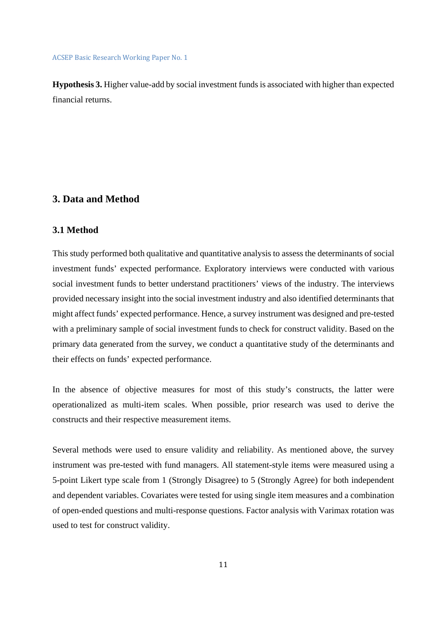**Hypothesis 3.** Higher value-add by social investment funds is associated with higher than expected financial returns.

# **3. Data and Method**

### **3.1 Method**

This study performed both qualitative and quantitative analysis to assess the determinants of social investment funds' expected performance. Exploratory interviews were conducted with various social investment funds to better understand practitioners' views of the industry. The interviews provided necessary insight into the social investment industry and also identified determinants that might affect funds' expected performance. Hence, a survey instrument was designed and pre-tested with a preliminary sample of social investment funds to check for construct validity. Based on the primary data generated from the survey, we conduct a quantitative study of the determinants and their effects on funds' expected performance.

In the absence of objective measures for most of this study's constructs, the latter were operationalized as multi-item scales. When possible, prior research was used to derive the constructs and their respective measurement items.

Several methods were used to ensure validity and reliability. As mentioned above, the survey instrument was pre-tested with fund managers. All statement-style items were measured using a 5-point Likert type scale from 1 (Strongly Disagree) to 5 (Strongly Agree) for both independent and dependent variables. Covariates were tested for using single item measures and a combination of open-ended questions and multi-response questions. Factor analysis with Varimax rotation was used to test for construct validity.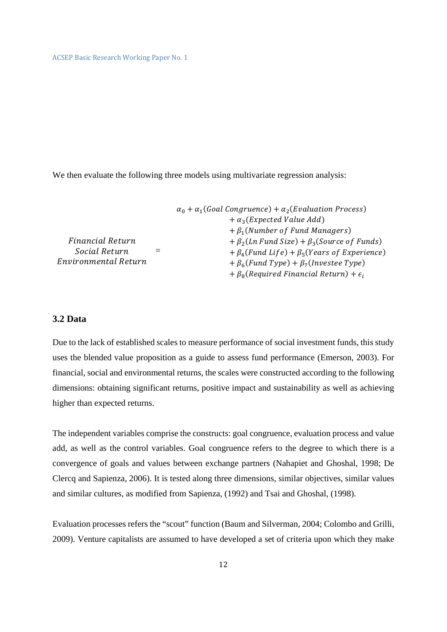We then evaluate the following three models using multivariate regression analysis:

|                      | $\alpha_0 + \alpha_1$ (Goal Congruence) + $\alpha_2$ (Evaluation Process) |
|----------------------|---------------------------------------------------------------------------|
|                      | $+ \alpha_3$ (Expected Value Add)                                         |
|                      | $+ \beta_1$ (Number of Fund Managers)                                     |
| Financial Return     | $+\beta_2 (Ln \text{ Fund Size}) + \beta_3 (Source \text{ of Funds})$     |
| Social Return        | $+\beta_4$ (Fund Life) + $\beta_5$ (Years of Experience)                  |
| Environmental Return | $+ \beta_6$ (Fund Type) + $\beta_7$ (Investee Type)                       |
|                      | $+ \beta_8$ (Required Financial Return) + $\epsilon_i$                    |

# **3.2 Data**

Due to the lack of established scales to measure performance of social investment funds, this study uses the blended value proposition as a guide to assess fund performance (Emerson, 2003). For financial, social and environmental returns, the scales were constructed according to the following dimensions: obtaining significant returns, positive impact and sustainability as well as achieving higher than expected returns.

The independent variables comprise the constructs: goal congruence, evaluation process and value add, as well as the control variables. Goal congruence refers to the degree to which there is a convergence of goals and values between exchange partners (Nahapiet and Ghoshal, 1998; De Clercq and Sapienza, 2006). It is tested along three dimensions, similar objectives, similar values and similar cultures, as modified from Sapienza, (1992) and Tsai and Ghoshal, (1998).

Evaluation processes refers the "scout" function (Baum and Silverman, 2004; Colombo and Grilli, 2009). Venture capitalists are assumed to have developed a set of criteria upon which they make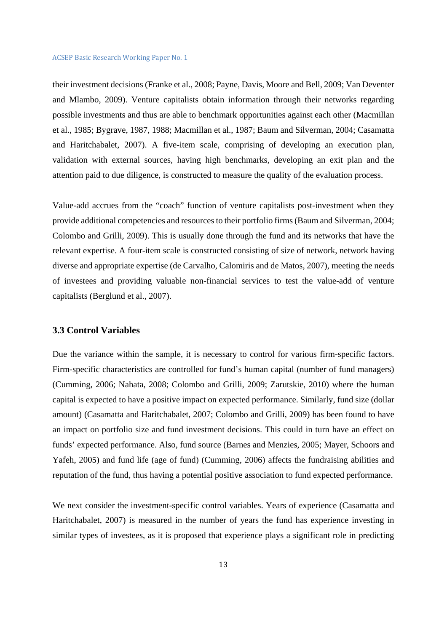their investment decisions (Franke et al., 2008; Payne, Davis, Moore and Bell, 2009; Van Deventer and Mlambo, 2009). Venture capitalists obtain information through their networks regarding possible investments and thus are able to benchmark opportunities against each other (Macmillan et al., 1985; Bygrave, 1987, 1988; Macmillan et al., 1987; Baum and Silverman, 2004; Casamatta and Haritchabalet, 2007). A five-item scale, comprising of developing an execution plan, validation with external sources, having high benchmarks, developing an exit plan and the attention paid to due diligence, is constructed to measure the quality of the evaluation process.

Value-add accrues from the "coach" function of venture capitalists post-investment when they provide additional competencies and resources to their portfolio firms (Baum and Silverman, 2004; Colombo and Grilli, 2009). This is usually done through the fund and its networks that have the relevant expertise. A four-item scale is constructed consisting of size of network, network having diverse and appropriate expertise (de Carvalho, Calomiris and de Matos, 2007), meeting the needs of investees and providing valuable non-financial services to test the value-add of venture capitalists (Berglund et al., 2007).

### **3.3 Control Variables**

Due the variance within the sample, it is necessary to control for various firm-specific factors. Firm-specific characteristics are controlled for fund's human capital (number of fund managers) (Cumming, 2006; Nahata, 2008; Colombo and Grilli, 2009; Zarutskie, 2010) where the human capital is expected to have a positive impact on expected performance. Similarly, fund size (dollar amount) (Casamatta and Haritchabalet, 2007; Colombo and Grilli, 2009) has been found to have an impact on portfolio size and fund investment decisions. This could in turn have an effect on funds' expected performance. Also, fund source (Barnes and Menzies, 2005; Mayer, Schoors and Yafeh, 2005) and fund life (age of fund) (Cumming, 2006) affects the fundraising abilities and reputation of the fund, thus having a potential positive association to fund expected performance.

We next consider the investment-specific control variables. Years of experience (Casamatta and Haritchabalet, 2007) is measured in the number of years the fund has experience investing in similar types of investees, as it is proposed that experience plays a significant role in predicting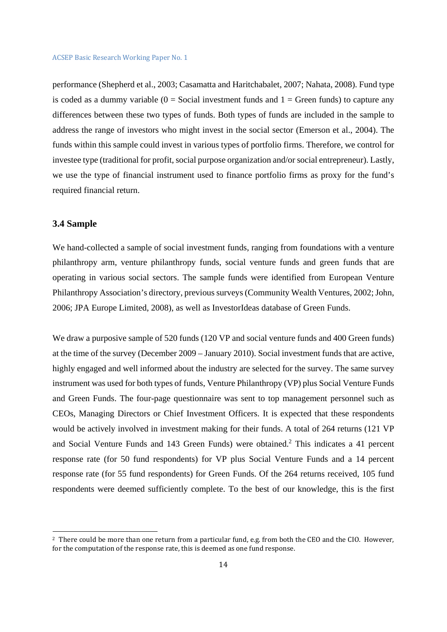performance (Shepherd et al., 2003; Casamatta and Haritchabalet, 2007; Nahata, 2008). Fund type is coded as a dummy variable  $(0 = Social investment funds and 1 = Green funds)$  to capture any differences between these two types of funds. Both types of funds are included in the sample to address the range of investors who might invest in the social sector (Emerson et al., 2004). The funds within this sample could invest in various types of portfolio firms. Therefore, we control for investee type (traditional for profit, social purpose organization and/or social entrepreneur). Lastly, we use the type of financial instrument used to finance portfolio firms as proxy for the fund's required financial return.

### **3.4 Sample**

 

We hand-collected a sample of social investment funds, ranging from foundations with a venture philanthropy arm, venture philanthropy funds, social venture funds and green funds that are operating in various social sectors. The sample funds were identified from European Venture Philanthropy Association's directory, previous surveys (Community Wealth Ventures, 2002; John, 2006; JPA Europe Limited, 2008), as well as InvestorIdeas database of Green Funds.

We draw a purposive sample of 520 funds (120 VP and social venture funds and 400 Green funds) at the time of the survey (December 2009 – January 2010). Social investment funds that are active, highly engaged and well informed about the industry are selected for the survey. The same survey instrument was used for both types of funds, Venture Philanthropy (VP) plus Social Venture Funds and Green Funds. The four-page questionnaire was sent to top management personnel such as CEOs, Managing Directors or Chief Investment Officers. It is expected that these respondents would be actively involved in investment making for their funds. A total of 264 returns (121 VP and Social Venture Funds and 143 Green Funds) were obtained.<sup>2</sup> This indicates a 41 percent response rate (for 50 fund respondents) for VP plus Social Venture Funds and a 14 percent response rate (for 55 fund respondents) for Green Funds. Of the 264 returns received, 105 fund respondents were deemed sufficiently complete. To the best of our knowledge, this is the first

<sup>&</sup>lt;sup>2</sup> There could be more than one return from a particular fund, e.g. from both the CEO and the CIO. However, for the computation of the response rate, this is deemed as one fund response.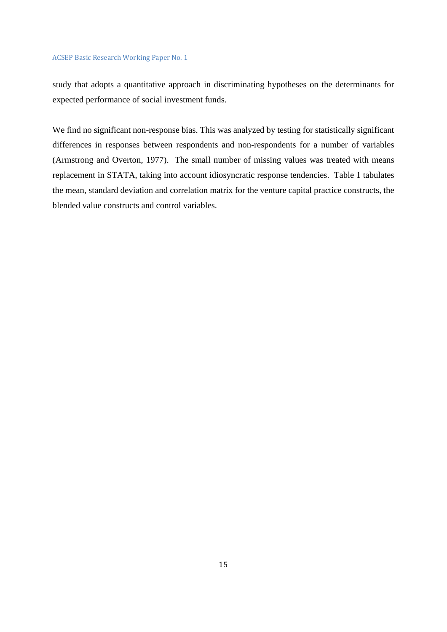study that adopts a quantitative approach in discriminating hypotheses on the determinants for expected performance of social investment funds.

We find no significant non-response bias. This was analyzed by testing for statistically significant differences in responses between respondents and non-respondents for a number of variables (Armstrong and Overton, 1977). The small number of missing values was treated with means replacement in STATA, taking into account idiosyncratic response tendencies. Table 1 tabulates the mean, standard deviation and correlation matrix for the venture capital practice constructs, the blended value constructs and control variables.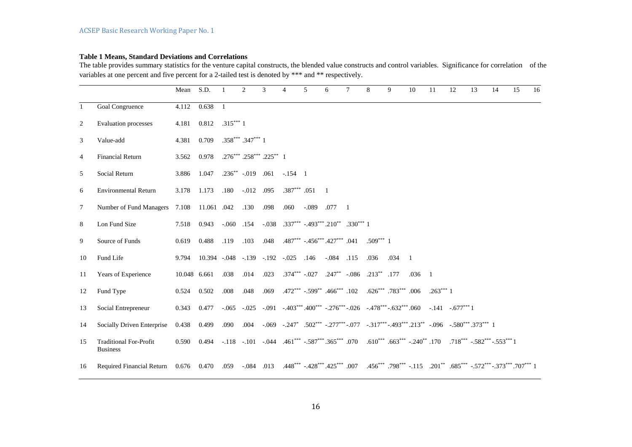### **Table 1 Means, Standard Deviations and Correlations**

The table provides summary statistics for the venture capital constructs, the blended value constructs and control variables. Significance for correlation of the variables at one percent and five percent for a 2-tailed test is denoted by \*\*\* and \*\* respectively.

|                |                                                                                                                                                      | Mean         | S.D.                                |                | $\overline{2}$        | 3                              | $\overline{\mathcal{L}}$ | $\overline{5}$     | 6                                                                                                                             | $\tau$         | 8          | 9    | 10             | 11         | 12 | 13                                                                                                                                                                                                                             | 14 | 15 | 16 |
|----------------|------------------------------------------------------------------------------------------------------------------------------------------------------|--------------|-------------------------------------|----------------|-----------------------|--------------------------------|--------------------------|--------------------|-------------------------------------------------------------------------------------------------------------------------------|----------------|------------|------|----------------|------------|----|--------------------------------------------------------------------------------------------------------------------------------------------------------------------------------------------------------------------------------|----|----|----|
| $\mathbf{1}$   | Goal Congruence                                                                                                                                      | 4.112        | 0.638                               | $\overline{1}$ |                       |                                |                          |                    |                                                                                                                               |                |            |      |                |            |    |                                                                                                                                                                                                                                |    |    |    |
| 2              | Evaluation processes                                                                                                                                 | 4.181        | 0.812                               | $.315***1$     |                       |                                |                          |                    |                                                                                                                               |                |            |      |                |            |    |                                                                                                                                                                                                                                |    |    |    |
| 3              | Value-add                                                                                                                                            | 4.381        | 0.709                               |                | $.358***$ $.347***$ 1 |                                |                          |                    |                                                                                                                               |                |            |      |                |            |    |                                                                                                                                                                                                                                |    |    |    |
| $\overline{4}$ | <b>Financial Return</b>                                                                                                                              | 3.562        | 0.978                               |                |                       | $.276***$ $.258***$ $.225**$ 1 |                          |                    |                                                                                                                               |                |            |      |                |            |    |                                                                                                                                                                                                                                |    |    |    |
| 5              | Social Return                                                                                                                                        | 3.886        | 1.047                               |                |                       | $.236^{**}$ -.019 .061         | $-.154 \quad 1$          |                    |                                                                                                                               |                |            |      |                |            |    |                                                                                                                                                                                                                                |    |    |    |
| 6              | <b>Environmental Return</b>                                                                                                                          | 3.178        | 1.173                               | .180           | $-0.012$ .095         |                                |                          | $.387***$ $.051$ 1 |                                                                                                                               |                |            |      |                |            |    |                                                                                                                                                                                                                                |    |    |    |
| $\tau$         | Number of Fund Managers                                                                                                                              |              | 7.108 11.061 .042                   |                | .130                  | .098                           | .060                     | $-0.089$ .077      |                                                                                                                               | $\overline{1}$ |            |      |                |            |    |                                                                                                                                                                                                                                |    |    |    |
| 8              | Lon Fund Size                                                                                                                                        |              | 7.518 0.943                         | $-.060$ .154   |                       |                                |                          |                    | $-0.038$ $0.337***$ $-0.493***$ $0.210**$ $0.330***$ 1                                                                        |                |            |      |                |            |    |                                                                                                                                                                                                                                |    |    |    |
| 9              | Source of Funds                                                                                                                                      | 0.619        | 0.488                               | .119           | .103                  | .048                           |                          |                    | $.487***$ $-.456***$ $.427***$ $.041$                                                                                         |                | $.509***1$ |      |                |            |    |                                                                                                                                                                                                                                |    |    |    |
| 10             | Fund Life                                                                                                                                            | 9.794        | 10.394 -.048 -.139 -.192 -.025 .146 |                |                       |                                |                          |                    | $-.084$ .115                                                                                                                  |                | .036       | .034 | $\overline{1}$ |            |    |                                                                                                                                                                                                                                |    |    |    |
| 11             | Years of Experience                                                                                                                                  | 10.048 6.661 |                                     | .038           | .014                  | .023                           |                          |                    | $.374***$ $-.027$ $.247**$ $-.086$ $.213**$ $.177$                                                                            |                |            |      | $.036 - 1$     |            |    |                                                                                                                                                                                                                                |    |    |    |
| 12             | Fund Type                                                                                                                                            | 0.524        | 0.502                               | .008           | .048                  | .069                           |                          |                    | .472*** .599** .466*** .102 .626*** .783*** .006                                                                              |                |            |      |                | $.263***1$ |    |                                                                                                                                                                                                                                |    |    |    |
| 13             | Social Entrepreneur                                                                                                                                  | 0.343        | 0.477                               |                |                       |                                |                          |                    | $-0.065$ $-0.025$ $-0.091$ $-0.403***$ $-0.00***$ $-0.276***$ $-0.026$ $-0.478***$ $-0.632***$ $0.060$ $-0.141$ $-0.677***$ 1 |                |            |      |                |            |    |                                                                                                                                                                                                                                |    |    |    |
| 14             | Socially Driven Enterprise                                                                                                                           | 0.438        | 0.499                               | .090           | .004                  |                                |                          |                    |                                                                                                                               |                |            |      |                |            |    | $-0.069$ $-0.247$ $0.502$ $0.580$ $0.580$ $0.580$ $0.580$ $0.580$ $0.580$ $0.580$ $0.580$ $0.580$ $0.580$ $0.580$ $0.580$ $0.580$ $0.580$ $0.580$ $0.580$ $0.580$ $0.580$ $0.580$ $0.580$ $0.580$ $0.580$ $0.580$ $0.580$ $0.$ |    |    |    |
| 15             | <b>Traditional For-Profit</b><br><b>Business</b>                                                                                                     | 0.590        | 0.494                               |                |                       |                                |                          |                    | $-.118$ $-.101$ $-.044$ $.461***$ $-.587***$ $.365***$ $.070$ $.610***$ $.663***$ $-.240**$ $.170$                            |                |            |      |                |            |    | $.718***$ $-.582***$ $-.553***$ 1                                                                                                                                                                                              |    |    |    |
| 16             | Required Financial Return 0.676 0.470 .059 -.084 .013 .448*** -.428*** .425*** .007 .456*** .798*** -.115 .201** .685*** -.572*** -.373*** .707*** 1 |              |                                     |                |                       |                                |                          |                    |                                                                                                                               |                |            |      |                |            |    |                                                                                                                                                                                                                                |    |    |    |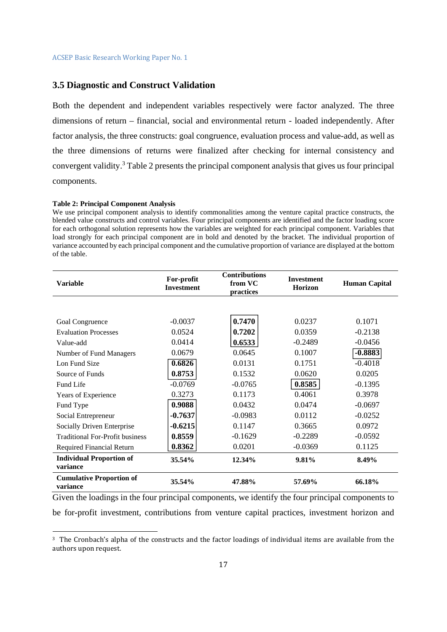### **3.5 Diagnostic and Construct Validation**

Both the dependent and independent variables respectively were factor analyzed. The three dimensions of return – financial, social and environmental return - loaded independently. After factor analysis, the three constructs: goal congruence, evaluation process and value-add, as well as the three dimensions of returns were finalized after checking for internal consistency and convergent validity.<sup>3</sup> Table 2 presents the principal component analysis that gives us four principal components.

### **Table 2: Principal Component Analysis**

 

We use principal component analysis to identify commonalities among the venture capital practice constructs, the blended value constructs and control variables. Four principal components are identified and the factor loading score for each orthogonal solution represents how the variables are weighted for each principal component. Variables that load strongly for each principal component are in bold and denoted by the bracket. The individual proportion of variance accounted by each principal component and the cumulative proportion of variance are displayed at the bottom of the table.

| <b>Variable</b>                             | For-profit<br><b>Investment</b> | <b>Contributions</b><br>from VC<br>practices | <b>Investment</b><br><b>Horizon</b> | <b>Human Capital</b> |  |
|---------------------------------------------|---------------------------------|----------------------------------------------|-------------------------------------|----------------------|--|
|                                             |                                 |                                              |                                     |                      |  |
| Goal Congruence                             | $-0.0037$                       | 0.7470                                       | 0.0237                              | 0.1071               |  |
| <b>Evaluation Processes</b>                 | 0.0524                          | 0.7202                                       | 0.0359                              | $-0.2138$            |  |
| Value-add                                   | 0.0414                          | 0.6533                                       | $-0.2489$                           | $-0.0456$            |  |
| Number of Fund Managers                     | 0.0679                          | 0.0645                                       | 0.1007                              | $-0.8883$            |  |
| Lon Fund Size                               | 0.6826                          | 0.0131                                       | 0.1751                              | $-0.4018$            |  |
| Source of Funds                             | 0.8753                          | 0.1532                                       | 0.0620                              | 0.0205               |  |
| Fund Life                                   | $-0.0769$                       | $-0.0765$                                    | 0.8585                              | $-0.1395$            |  |
| Years of Experience                         | 0.3273                          | 0.1173                                       | 0.4061                              | 0.3978               |  |
| Fund Type                                   | 0.9088                          | 0.0432                                       | 0.0474                              | $-0.0697$            |  |
| Social Entrepreneur                         | $-0.7637$                       | $-0.0983$                                    | 0.0112                              | $-0.0252$            |  |
| Socially Driven Enterprise                  | $-0.6215$                       | 0.1147                                       | 0.3665                              | 0.0972               |  |
| <b>Traditional For-Profit business</b>      | 0.8559                          | $-0.1629$                                    | $-0.2289$                           | $-0.0592$            |  |
| <b>Required Financial Return</b>            | 0.8362                          | 0.0201                                       | $-0.0369$                           | 0.1125               |  |
| <b>Individual Proportion of</b><br>variance | 35.54%                          | 12.34%                                       | 9.81%                               | 8.49%                |  |
| <b>Cumulative Proportion of</b><br>variance | 35.54%                          | 47.88%                                       | 57.69%                              | 66.18%               |  |

Given the loadings in the four principal components, we identify the four principal components to be for-profit investment, contributions from venture capital practices, investment horizon and

<sup>&</sup>lt;sup>3</sup> The Cronbach's alpha of the constructs and the factor loadings of individual items are available from the authors upon request.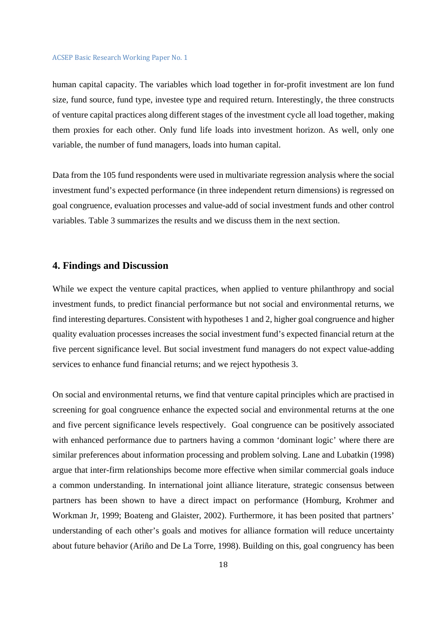human capital capacity. The variables which load together in for-profit investment are lon fund size, fund source, fund type, investee type and required return. Interestingly, the three constructs of venture capital practices along different stages of the investment cycle all load together, making them proxies for each other. Only fund life loads into investment horizon. As well, only one variable, the number of fund managers, loads into human capital.

Data from the 105 fund respondents were used in multivariate regression analysis where the social investment fund's expected performance (in three independent return dimensions) is regressed on goal congruence, evaluation processes and value-add of social investment funds and other control variables. Table 3 summarizes the results and we discuss them in the next section.

# **4. Findings and Discussion**

While we expect the venture capital practices, when applied to venture philanthropy and social investment funds, to predict financial performance but not social and environmental returns, we find interesting departures. Consistent with hypotheses 1 and 2, higher goal congruence and higher quality evaluation processes increases the social investment fund's expected financial return at the five percent significance level. But social investment fund managers do not expect value-adding services to enhance fund financial returns; and we reject hypothesis 3.

On social and environmental returns, we find that venture capital principles which are practised in screening for goal congruence enhance the expected social and environmental returns at the one and five percent significance levels respectively. Goal congruence can be positively associated with enhanced performance due to partners having a common 'dominant logic' where there are similar preferences about information processing and problem solving. Lane and Lubatkin (1998) argue that inter-firm relationships become more effective when similar commercial goals induce a common understanding. In international joint alliance literature, strategic consensus between partners has been shown to have a direct impact on performance (Homburg, Krohmer and Workman Jr, 1999; Boateng and Glaister, 2002). Furthermore, it has been posited that partners' understanding of each other's goals and motives for alliance formation will reduce uncertainty about future behavior (Ariño and De La Torre, 1998). Building on this, goal congruency has been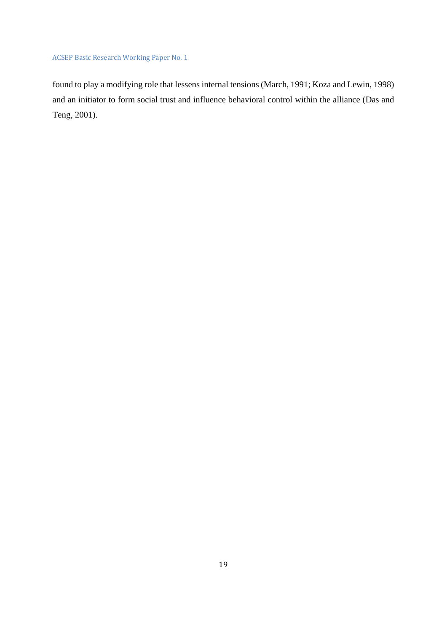found to play a modifying role that lessens internal tensions (March, 1991; Koza and Lewin, 1998) and an initiator to form social trust and influence behavioral control within the alliance (Das and Teng, 2001).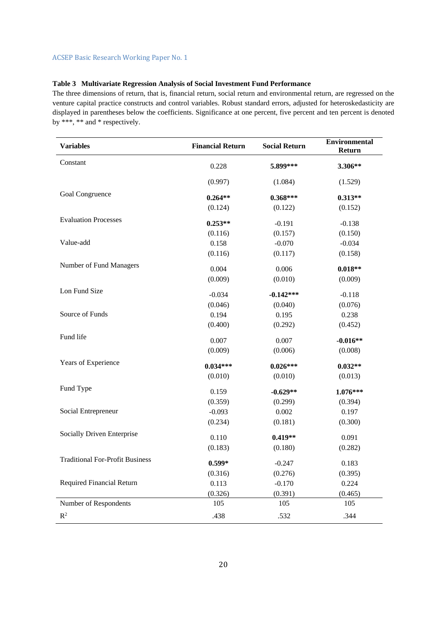## **Table 3 Multivariate Regression Analysis of Social Investment Fund Performance**

The three dimensions of return, that is, financial return, social return and environmental return, are regressed on the venture capital practice constructs and control variables. Robust standard errors, adjusted for heteroskedasticity are displayed in parentheses below the coefficients. Significance at one percent, five percent and ten percent is denoted by \*\*\*, \*\* and \* respectively.

| <b>Variables</b>                       | <b>Financial Return</b> | <b>Social Return</b> | <b>Environmental</b><br><b>Return</b> |  |  |
|----------------------------------------|-------------------------|----------------------|---------------------------------------|--|--|
| Constant                               | 0.228                   | 5.899***             | 3.306**                               |  |  |
|                                        | (0.997)                 | (1.084)              | (1.529)                               |  |  |
| Goal Congruence                        | $0.264**$               | $0.368***$           | $0.313**$                             |  |  |
|                                        | (0.124)                 | (0.122)              | (0.152)                               |  |  |
| <b>Evaluation Processes</b>            | $0.253**$               | $-0.191$             | $-0.138$                              |  |  |
|                                        | (0.116)                 | (0.157)              | (0.150)                               |  |  |
| Value-add                              | 0.158                   | $-0.070$             | $-0.034$                              |  |  |
|                                        | (0.116)                 | (0.117)              | (0.158)                               |  |  |
| Number of Fund Managers                | 0.004                   | 0.006                | $0.018**$                             |  |  |
|                                        | (0.009)                 | (0.010)              | (0.009)                               |  |  |
| Lon Fund Size                          | $-0.034$                | $-0.142***$          | $-0.118$                              |  |  |
|                                        | (0.046)                 | (0.040)              | (0.076)                               |  |  |
| Source of Funds                        | 0.194                   | 0.195                | 0.238                                 |  |  |
|                                        | (0.400)                 | (0.292)              | (0.452)                               |  |  |
| Fund life                              | 0.007                   | 0.007                | $-0.016**$                            |  |  |
|                                        | (0.009)                 | (0.006)              | (0.008)                               |  |  |
| Years of Experience                    | $0.034***$              | $0.026***$           | $0.032**$                             |  |  |
|                                        | (0.010)                 | (0.010)              | (0.013)                               |  |  |
| Fund Type                              | 0.159                   | $-0.629**$           | $1.076***$                            |  |  |
|                                        | (0.359)                 | (0.299)              | (0.394)                               |  |  |
| Social Entrepreneur                    | $-0.093$                | 0.002                | 0.197                                 |  |  |
|                                        | (0.234)                 | (0.181)              | (0.300)                               |  |  |
| Socially Driven Enterprise             | 0.110                   | $0.419**$            | 0.091                                 |  |  |
|                                        | (0.183)                 | (0.180)              | (0.282)                               |  |  |
| <b>Traditional For-Profit Business</b> | $0.599*$                | $-0.247$             | 0.183                                 |  |  |
|                                        | (0.316)                 | (0.276)              | (0.395)                               |  |  |
| <b>Required Financial Return</b>       | 0.113                   | $-0.170$             | 0.224                                 |  |  |
|                                        | (0.326)                 | (0.391)              | (0.465)                               |  |  |
| Number of Respondents                  | 105                     | 105                  | 105                                   |  |  |
| $R^2$                                  | .438                    | .532                 | .344                                  |  |  |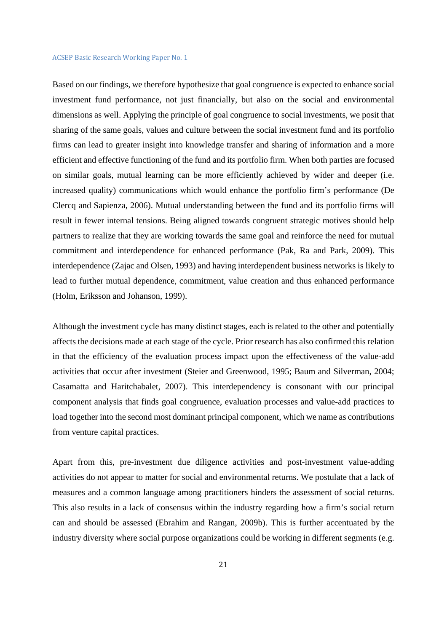Based on our findings, we therefore hypothesize that goal congruence is expected to enhance social investment fund performance, not just financially, but also on the social and environmental dimensions as well. Applying the principle of goal congruence to social investments, we posit that sharing of the same goals, values and culture between the social investment fund and its portfolio firms can lead to greater insight into knowledge transfer and sharing of information and a more efficient and effective functioning of the fund and its portfolio firm. When both parties are focused on similar goals, mutual learning can be more efficiently achieved by wider and deeper (i.e. increased quality) communications which would enhance the portfolio firm's performance (De Clercq and Sapienza, 2006). Mutual understanding between the fund and its portfolio firms will result in fewer internal tensions. Being aligned towards congruent strategic motives should help partners to realize that they are working towards the same goal and reinforce the need for mutual commitment and interdependence for enhanced performance (Pak, Ra and Park, 2009). This interdependence (Zajac and Olsen, 1993) and having interdependent business networks is likely to lead to further mutual dependence, commitment, value creation and thus enhanced performance (Holm, Eriksson and Johanson, 1999).

Although the investment cycle has many distinct stages, each is related to the other and potentially affects the decisions made at each stage of the cycle. Prior research has also confirmed this relation in that the efficiency of the evaluation process impact upon the effectiveness of the value-add activities that occur after investment (Steier and Greenwood, 1995; Baum and Silverman, 2004; Casamatta and Haritchabalet, 2007). This interdependency is consonant with our principal component analysis that finds goal congruence, evaluation processes and value-add practices to load together into the second most dominant principal component, which we name as contributions from venture capital practices.

Apart from this, pre-investment due diligence activities and post-investment value-adding activities do not appear to matter for social and environmental returns. We postulate that a lack of measures and a common language among practitioners hinders the assessment of social returns. This also results in a lack of consensus within the industry regarding how a firm's social return can and should be assessed (Ebrahim and Rangan, 2009b). This is further accentuated by the industry diversity where social purpose organizations could be working in different segments (e.g.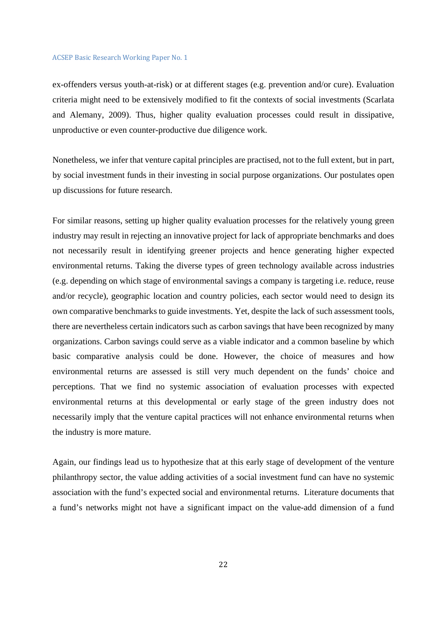ex-offenders versus youth-at-risk) or at different stages (e.g. prevention and/or cure). Evaluation criteria might need to be extensively modified to fit the contexts of social investments (Scarlata and Alemany, 2009). Thus, higher quality evaluation processes could result in dissipative, unproductive or even counter-productive due diligence work.

Nonetheless, we infer that venture capital principles are practised, not to the full extent, but in part, by social investment funds in their investing in social purpose organizations. Our postulates open up discussions for future research.

For similar reasons, setting up higher quality evaluation processes for the relatively young green industry may result in rejecting an innovative project for lack of appropriate benchmarks and does not necessarily result in identifying greener projects and hence generating higher expected environmental returns. Taking the diverse types of green technology available across industries (e.g. depending on which stage of environmental savings a company is targeting i.e. reduce, reuse and/or recycle), geographic location and country policies, each sector would need to design its own comparative benchmarks to guide investments. Yet, despite the lack of such assessment tools, there are nevertheless certain indicators such as carbon savings that have been recognized by many organizations. Carbon savings could serve as a viable indicator and a common baseline by which basic comparative analysis could be done. However, the choice of measures and how environmental returns are assessed is still very much dependent on the funds' choice and perceptions. That we find no systemic association of evaluation processes with expected environmental returns at this developmental or early stage of the green industry does not necessarily imply that the venture capital practices will not enhance environmental returns when the industry is more mature.

Again, our findings lead us to hypothesize that at this early stage of development of the venture philanthropy sector, the value adding activities of a social investment fund can have no systemic association with the fund's expected social and environmental returns. Literature documents that a fund's networks might not have a significant impact on the value-add dimension of a fund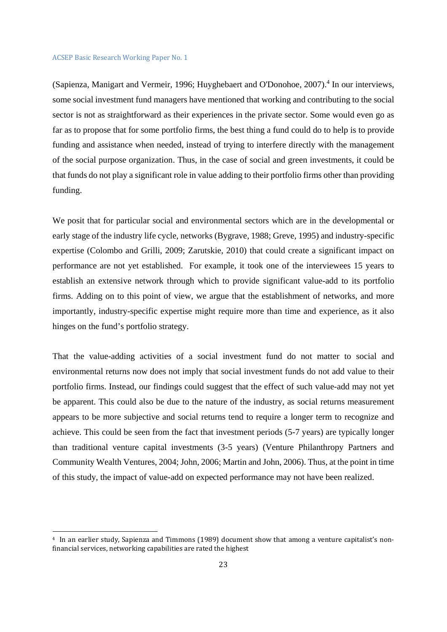(Sapienza, Manigart and Vermeir, 1996; Huyghebaert and O'Donohoe, 2007).<sup>4</sup> In our interviews, some social investment fund managers have mentioned that working and contributing to the social sector is not as straightforward as their experiences in the private sector. Some would even go as far as to propose that for some portfolio firms, the best thing a fund could do to help is to provide funding and assistance when needed, instead of trying to interfere directly with the management of the social purpose organization. Thus, in the case of social and green investments, it could be that funds do not play a significant role in value adding to their portfolio firms other than providing funding.

We posit that for particular social and environmental sectors which are in the developmental or early stage of the industry life cycle, networks (Bygrave, 1988; Greve, 1995) and industry-specific expertise (Colombo and Grilli, 2009; Zarutskie, 2010) that could create a significant impact on performance are not yet established. For example, it took one of the interviewees 15 years to establish an extensive network through which to provide significant value-add to its portfolio firms. Adding on to this point of view, we argue that the establishment of networks, and more importantly, industry-specific expertise might require more than time and experience, as it also hinges on the fund's portfolio strategy.

That the value-adding activities of a social investment fund do not matter to social and environmental returns now does not imply that social investment funds do not add value to their portfolio firms. Instead, our findings could suggest that the effect of such value-add may not yet be apparent. This could also be due to the nature of the industry, as social returns measurement appears to be more subjective and social returns tend to require a longer term to recognize and achieve. This could be seen from the fact that investment periods (5-7 years) are typically longer than traditional venture capital investments (3-5 years) (Venture Philanthropy Partners and Community Wealth Ventures, 2004; John, 2006; Martin and John, 2006). Thus, at the point in time of this study, the impact of value-add on expected performance may not have been realized.

<sup>&</sup>lt;sup>4</sup> In an earlier study, Sapienza and Timmons (1989) document show that among a venture capitalist's nonfinancial services, networking capabilities are rated the highest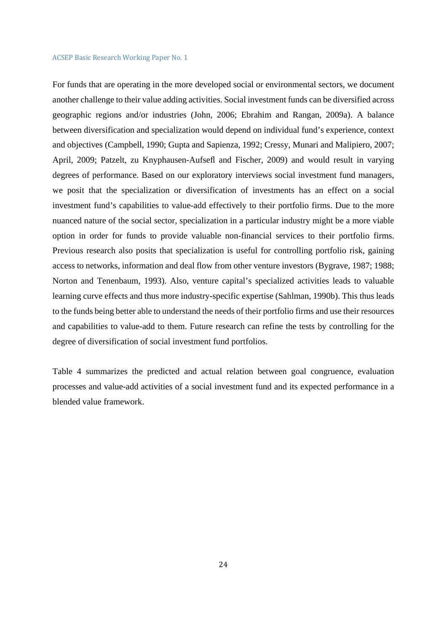For funds that are operating in the more developed social or environmental sectors, we document another challenge to their value adding activities. Social investment funds can be diversified across geographic regions and/or industries (John, 2006; Ebrahim and Rangan, 2009a). A balance between diversification and specialization would depend on individual fund's experience, context and objectives (Campbell, 1990; Gupta and Sapienza, 1992; Cressy, Munari and Malipiero, 2007; April, 2009; Patzelt, zu Knyphausen-Aufsefl and Fischer, 2009) and would result in varying degrees of performance. Based on our exploratory interviews social investment fund managers, we posit that the specialization or diversification of investments has an effect on a social investment fund's capabilities to value-add effectively to their portfolio firms. Due to the more nuanced nature of the social sector, specialization in a particular industry might be a more viable option in order for funds to provide valuable non-financial services to their portfolio firms. Previous research also posits that specialization is useful for controlling portfolio risk, gaining access to networks, information and deal flow from other venture investors (Bygrave, 1987; 1988; Norton and Tenenbaum, 1993). Also, venture capital's specialized activities leads to valuable learning curve effects and thus more industry-specific expertise (Sahlman, 1990b). This thus leads to the funds being better able to understand the needs of their portfolio firms and use their resources and capabilities to value-add to them. Future research can refine the tests by controlling for the degree of diversification of social investment fund portfolios.

Table 4 summarizes the predicted and actual relation between goal congruence, evaluation processes and value-add activities of a social investment fund and its expected performance in a blended value framework.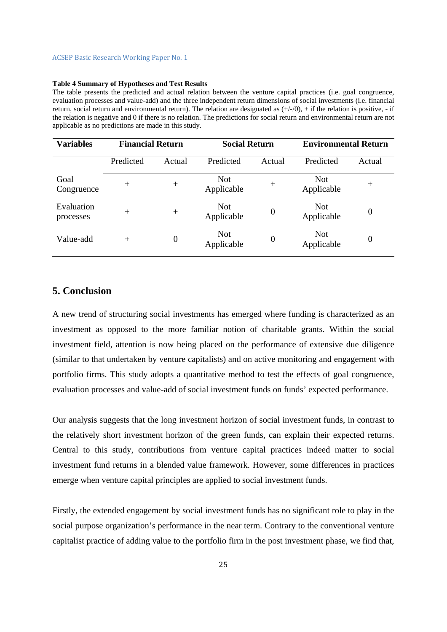#### **Table 4 Summary of Hypotheses and Test Results**

The table presents the predicted and actual relation between the venture capital practices (i.e. goal congruence, evaluation processes and value-add) and the three independent return dimensions of social investments (i.e. financial return, social return and environmental return). The relation are designated as  $(+/0)$ , + if the relation is positive, - if the relation is negative and 0 if there is no relation. The predictions for social return and environmental return are not applicable as no predictions are made in this study.

| <b>Variables</b>        | <b>Financial Return</b> |                  | <b>Social Return</b>     |                  | <b>Environmental Return</b> |                  |  |  |
|-------------------------|-------------------------|------------------|--------------------------|------------------|-----------------------------|------------------|--|--|
|                         | Predicted               | Actual           | Predicted                | Actual           | Predicted                   | Actual           |  |  |
| Goal<br>Congruence      | $^{+}$                  | $^{+}$           | Not<br>Applicable        | $^{+}$           | <b>Not</b><br>Applicable    | $^{+}$           |  |  |
| Evaluation<br>processes | $^{+}$                  | $^{+}$           | <b>Not</b><br>Applicable | $\boldsymbol{0}$ | <b>Not</b><br>Applicable    | $\boldsymbol{0}$ |  |  |
| Value-add               | $^{+}$                  | $\boldsymbol{0}$ | <b>Not</b><br>Applicable | $\boldsymbol{0}$ | <b>Not</b><br>Applicable    | $\boldsymbol{0}$ |  |  |

# **5. Conclusion**

A new trend of structuring social investments has emerged where funding is characterized as an investment as opposed to the more familiar notion of charitable grants. Within the social investment field, attention is now being placed on the performance of extensive due diligence (similar to that undertaken by venture capitalists) and on active monitoring and engagement with portfolio firms. This study adopts a quantitative method to test the effects of goal congruence, evaluation processes and value-add of social investment funds on funds' expected performance.

Our analysis suggests that the long investment horizon of social investment funds, in contrast to the relatively short investment horizon of the green funds, can explain their expected returns. Central to this study, contributions from venture capital practices indeed matter to social investment fund returns in a blended value framework. However, some differences in practices emerge when venture capital principles are applied to social investment funds.

Firstly, the extended engagement by social investment funds has no significant role to play in the social purpose organization's performance in the near term. Contrary to the conventional venture capitalist practice of adding value to the portfolio firm in the post investment phase, we find that,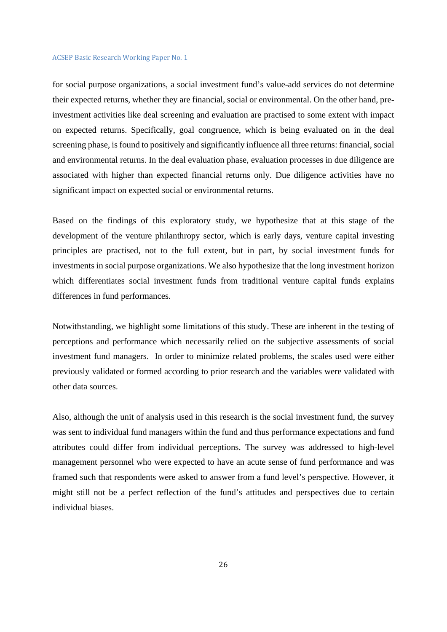for social purpose organizations, a social investment fund's value-add services do not determine their expected returns, whether they are financial, social or environmental. On the other hand, preinvestment activities like deal screening and evaluation are practised to some extent with impact on expected returns. Specifically, goal congruence, which is being evaluated on in the deal screening phase, is found to positively and significantly influence all three returns: financial, social and environmental returns. In the deal evaluation phase, evaluation processes in due diligence are associated with higher than expected financial returns only. Due diligence activities have no significant impact on expected social or environmental returns.

Based on the findings of this exploratory study, we hypothesize that at this stage of the development of the venture philanthropy sector, which is early days, venture capital investing principles are practised, not to the full extent, but in part, by social investment funds for investments in social purpose organizations. We also hypothesize that the long investment horizon which differentiates social investment funds from traditional venture capital funds explains differences in fund performances.

Notwithstanding, we highlight some limitations of this study. These are inherent in the testing of perceptions and performance which necessarily relied on the subjective assessments of social investment fund managers. In order to minimize related problems, the scales used were either previously validated or formed according to prior research and the variables were validated with other data sources.

Also, although the unit of analysis used in this research is the social investment fund, the survey was sent to individual fund managers within the fund and thus performance expectations and fund attributes could differ from individual perceptions. The survey was addressed to high-level management personnel who were expected to have an acute sense of fund performance and was framed such that respondents were asked to answer from a fund level's perspective. However, it might still not be a perfect reflection of the fund's attitudes and perspectives due to certain individual biases.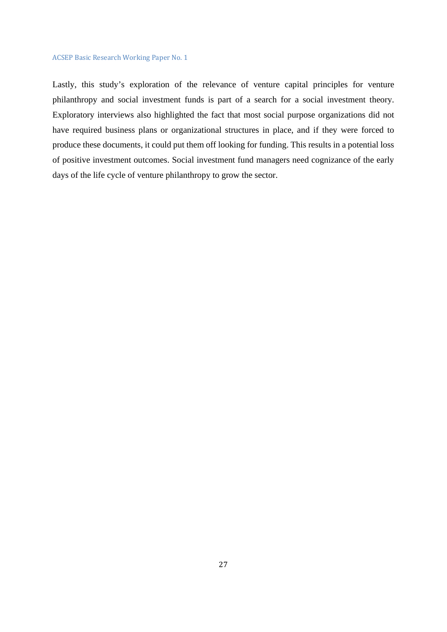Lastly, this study's exploration of the relevance of venture capital principles for venture philanthropy and social investment funds is part of a search for a social investment theory. Exploratory interviews also highlighted the fact that most social purpose organizations did not have required business plans or organizational structures in place, and if they were forced to produce these documents, it could put them off looking for funding. This results in a potential loss of positive investment outcomes. Social investment fund managers need cognizance of the early days of the life cycle of venture philanthropy to grow the sector.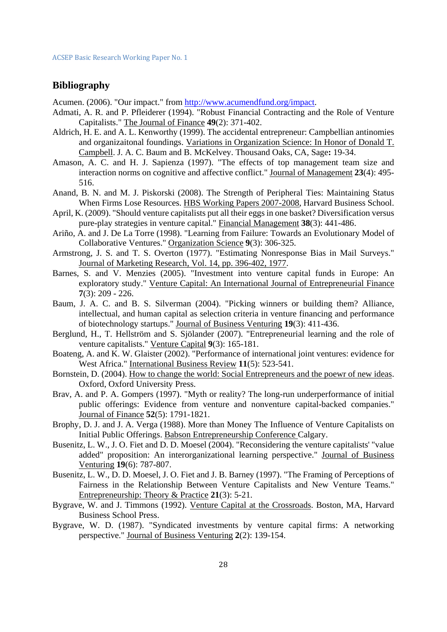# **Bibliography**

Acumen. (2006). "Our impact." from http://www.acumendfund.org/impact.

- Admati, A. R. and P. Pfleiderer (1994). "Robust Financial Contracting and the Role of Venture Capitalists." The Journal of Finance **49**(2): 371-402.
- Aldrich, H. E. and A. L. Kenworthy (1999). The accidental entrepreneur: Campbellian antinomies and organizaitonal foundings. Variations in Organization Science: In Honor of Donald T. Campbell. J. A. C. Baum and B. McKelvey. Thousand Oaks, CA, Sage**:** 19-34.
- Amason, A. C. and H. J. Sapienza (1997). "The effects of top management team size and interaction norms on cognitive and affective conflict." Journal of Management **23**(4): 495- 516.
- Anand, B. N. and M. J. Piskorski (2008). The Strength of Peripheral Ties: Maintaining Status When Firms Lose Resources. HBS Working Papers 2007-2008, Harvard Business School.
- April, K. (2009). "Should venture capitalists put all their eggs in one basket? Diversification versus pure-play strategies in venture capital." Financial Management **38**(3): 441-486.
- Ariño, A. and J. De La Torre (1998). "Learning from Failure: Towards an Evolutionary Model of Collaborative Ventures." Organization Science **9**(3): 306-325.
- Armstrong, J. S. and T. S. Overton (1977). "Estimating Nonresponse Bias in Mail Surveys." Journal of Marketing Research, Vol. 14, pp. 396-402, 1977.
- Barnes, S. and V. Menzies (2005). "Investment into venture capital funds in Europe: An exploratory study." Venture Capital: An International Journal of Entrepreneurial Finance **7**(3): 209 - 226.
- Baum, J. A. C. and B. S. Silverman (2004). "Picking winners or building them? Alliance, intellectual, and human capital as selection criteria in venture financing and performance of biotechnology startups." Journal of Business Venturing **19**(3): 411-436.
- Berglund, H., T. Hellström and S. Sjölander (2007). "Entrepreneurial learning and the role of venture capitalists." Venture Capital **9**(3): 165-181.
- Boateng, A. and K. W. Glaister (2002). "Performance of international joint ventures: evidence for West Africa." International Business Review **11**(5): 523-541.
- Bornstein, D. (2004). How to change the world: Social Entrepreneurs and the poewr of new ideas. Oxford, Oxford University Press.
- Brav, A. and P. A. Gompers (1997). "Myth or reality? The long-run underperformance of initial public offerings: Evidence from venture and nonventure capital-backed companies." Journal of Finance **52**(5): 1791-1821.
- Brophy, D. J. and J. A. Verga (1988). More than Money The Influence of Venture Capitalists on Initial Public Offerings. Babson Entrepreneurship Conference Calgary.
- Busenitz, L. W., J. O. Fiet and D. D. Moesel (2004). "Reconsidering the venture capitalists' "value added" proposition: An interorganizational learning perspective." Journal of Business Venturing **19**(6): 787-807.
- Busenitz, L. W., D. D. Moesel, J. O. Fiet and J. B. Barney (1997). "The Framing of Perceptions of Fairness in the Relationship Between Venture Capitalists and New Venture Teams." Entrepreneurship: Theory & Practice **21**(3): 5-21.
- Bygrave, W. and J. Timmons (1992). Venture Capital at the Crossroads. Boston, MA, Harvard Business School Press.
- Bygrave, W. D. (1987). "Syndicated investments by venture capital firms: A networking perspective." Journal of Business Venturing **2**(2): 139-154.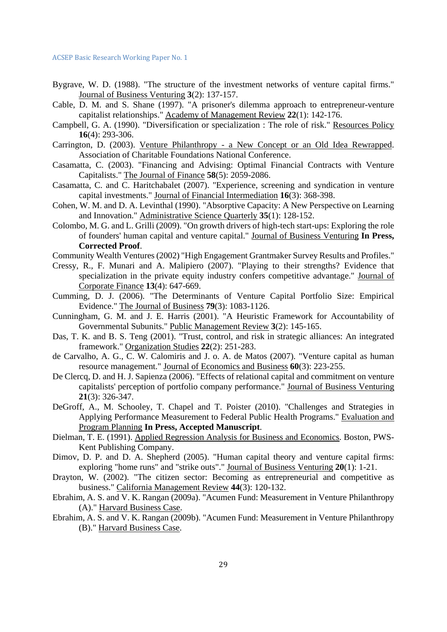- Bygrave, W. D. (1988). "The structure of the investment networks of venture capital firms." Journal of Business Venturing **3**(2): 137-157.
- Cable, D. M. and S. Shane (1997). "A prisoner's dilemma approach to entrepreneur-venture capitalist relationships." Academy of Management Review **22**(1): 142-176.
- Campbell, G. A. (1990). "Diversification or specialization : The role of risk." Resources Policy **16**(4): 293-306.
- Carrington, D. (2003). Venture Philanthropy a New Concept or an Old Idea Rewrapped. Association of Charitable Foundations National Conference.
- Casamatta, C. (2003). "Financing and Advising: Optimal Financial Contracts with Venture Capitalists." The Journal of Finance **58**(5): 2059-2086.
- Casamatta, C. and C. Haritchabalet (2007). "Experience, screening and syndication in venture capital investments." Journal of Financial Intermediation **16**(3): 368-398.
- Cohen, W. M. and D. A. Levinthal (1990). "Absorptive Capacity: A New Perspective on Learning and Innovation." Administrative Science Quarterly **35**(1): 128-152.
- Colombo, M. G. and L. Grilli (2009). "On growth drivers of high-tech start-ups: Exploring the role of founders' human capital and venture capital." Journal of Business Venturing **In Press, Corrected Proof**.
- Community Wealth Ventures (2002) "High Engagement Grantmaker Survey Results and Profiles."
- Cressy, R., F. Munari and A. Malipiero (2007). "Playing to their strengths? Evidence that specialization in the private equity industry confers competitive advantage." Journal of Corporate Finance **13**(4): 647-669.
- Cumming, D. J. (2006). "The Determinants of Venture Capital Portfolio Size: Empirical Evidence." The Journal of Business **79**(3): 1083-1126.
- Cunningham, G. M. and J. E. Harris (2001). "A Heuristic Framework for Accountability of Governmental Subunits." Public Management Review **3**(2): 145-165.
- Das, T. K. and B. S. Teng (2001). "Trust, control, and risk in strategic alliances: An integrated framework." Organization Studies **22**(2): 251-283.
- de Carvalho, A. G., C. W. Calomiris and J. o. A. de Matos (2007). "Venture capital as human resource management." Journal of Economics and Business **60**(3): 223-255.
- De Clercq, D. and H. J. Sapienza (2006). "Effects of relational capital and commitment on venture capitalists' perception of portfolio company performance." Journal of Business Venturing **21**(3): 326-347.
- DeGroff, A., M. Schooley, T. Chapel and T. Poister (2010). "Challenges and Strategies in Applying Performance Measurement to Federal Public Health Programs." Evaluation and Program Planning **In Press, Accepted Manuscript**.
- Dielman, T. E. (1991). Applied Regression Analysis for Business and Economics. Boston, PWS-Kent Publishing Company.
- Dimov, D. P. and D. A. Shepherd (2005). "Human capital theory and venture capital firms: exploring "home runs" and "strike outs"." Journal of Business Venturing **20**(1): 1-21.
- Drayton, W. (2002). "The citizen sector: Becoming as entrepreneurial and competitive as business." California Management Review **44**(3): 120-132.
- Ebrahim, A. S. and V. K. Rangan (2009a). "Acumen Fund: Measurement in Venture Philanthropy (A)." Harvard Business Case.
- Ebrahim, A. S. and V. K. Rangan (2009b). "Acumen Fund: Measurement in Venture Philanthropy (B)." Harvard Business Case.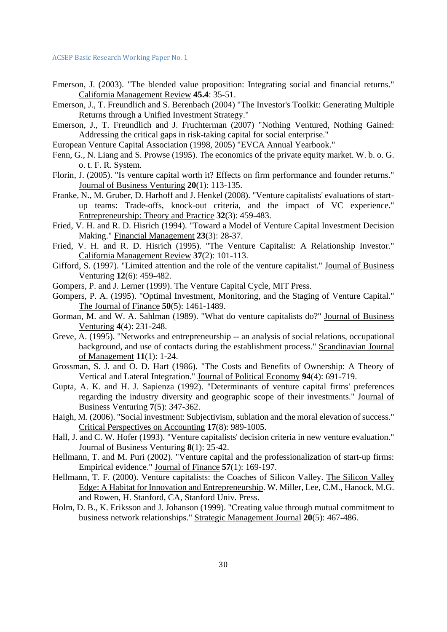- Emerson, J. (2003). "The blended value proposition: Integrating social and financial returns." California Management Review **45.4**: 35-51.
- Emerson, J., T. Freundlich and S. Berenbach (2004) "The Investor's Toolkit: Generating Multiple Returns through a Unified Investment Strategy."
- Emerson, J., T. Freundlich and J. Fruchterman (2007) "Nothing Ventured, Nothing Gained: Addressing the critical gaps in risk-taking capital for social enterprise."
- European Venture Capital Association (1998, 2005) "EVCA Annual Yearbook."
- Fenn, G., N. Liang and S. Prowse (1995). The economics of the private equity market. W. b. o. G. o. t. F. R. System.
- Florin, J. (2005). "Is venture capital worth it? Effects on firm performance and founder returns." Journal of Business Venturing **20**(1): 113-135.
- Franke, N., M. Gruber, D. Harhoff and J. Henkel (2008). "Venture capitalists' evaluations of startup teams: Trade-offs, knock-out criteria, and the impact of VC experience." Entrepreneurship: Theory and Practice **32**(3): 459-483.
- Fried, V. H. and R. D. Hisrich (1994). "Toward a Model of Venture Capital Investment Decision Making." Financial Management **23**(3): 28-37.
- Fried, V. H. and R. D. Hisrich (1995). "The Venture Capitalist: A Relationship Investor." California Management Review **37**(2): 101-113.
- Gifford, S. (1997). "Limited attention and the role of the venture capitalist." Journal of Business Venturing **12**(6): 459-482.
- Gompers, P. and J. Lerner (1999). The Venture Capital Cycle, MIT Press.
- Gompers, P. A. (1995). "Optimal Investment, Monitoring, and the Staging of Venture Capital." The Journal of Finance **50**(5): 1461-1489.
- Gorman, M. and W. A. Sahlman (1989). "What do venture capitalists do?" Journal of Business Venturing **4**(4): 231-248.
- Greve, A. (1995). "Networks and entrepreneurship -- an analysis of social relations, occupational background, and use of contacts during the establishment process." Scandinavian Journal of Management **11**(1): 1-24.
- Grossman, S. J. and O. D. Hart (1986). "The Costs and Benefits of Ownership: A Theory of Vertical and Lateral Integration." Journal of Political Economy **94**(4): 691-719.
- Gupta, A. K. and H. J. Sapienza (1992). "Determinants of venture capital firms' preferences regarding the industry diversity and geographic scope of their investments." Journal of Business Venturing **7**(5): 347-362.
- Haigh, M. (2006). "Social investment: Subjectivism, sublation and the moral elevation of success." Critical Perspectives on Accounting **17**(8): 989-1005.
- Hall, J. and C. W. Hofer (1993). "Venture capitalists' decision criteria in new venture evaluation." Journal of Business Venturing **8**(1): 25-42.
- Hellmann, T. and M. Puri (2002). "Venture capital and the professionalization of start-up firms: Empirical evidence." Journal of Finance **57**(1): 169-197.
- Hellmann, T. F. (2000). Venture capitalists: the Coaches of Silicon Valley. The Silicon Valley Edge: A Habitat for Innovation and Entrepreneurship. W. Miller, Lee, C.M., Hanock, M.G. and Rowen, H. Stanford, CA, Stanford Univ. Press.
- Holm, D. B., K. Eriksson and J. Johanson (1999). "Creating value through mutual commitment to business network relationships." Strategic Management Journal **20**(5): 467-486.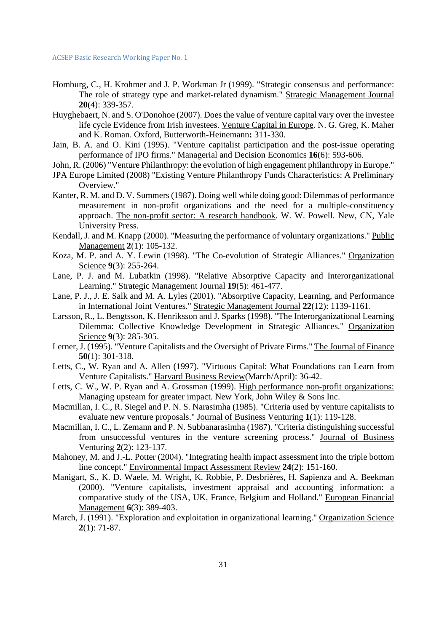- Homburg, C., H. Krohmer and J. P. Workman Jr (1999). "Strategic consensus and performance: The role of strategy type and market-related dynamism." Strategic Management Journal **20**(4): 339-357.
- Huyghebaert, N. and S. O'Donohoe (2007). Does the value of venture capital vary over the investee life cycle Evidence from Irish investees. Venture Capital in Europe. N. G. Greg, K. Maher and K. Roman. Oxford, Butterworth-Heinemann**:** 311-330.
- Jain, B. A. and O. Kini (1995). "Venture capitalist participation and the post-issue operating performance of IPO firms." Managerial and Decision Economics **16**(6): 593-606.

John, R. (2006) "Venture Philanthropy: the evolution of high engagement philanthropy in Europe."

- JPA Europe Limited (2008) "Existing Venture Philanthropy Funds Characteristics: A Preliminary Overview."
- Kanter, R. M. and D. V. Summers (1987). Doing well while doing good: Dilemmas of performance measurement in non-profit organizations and the need for a multiple-constituency approach. The non-profit sector: A research handbook. W. W. Powell. New, CN, Yale University Press.
- Kendall, J. and M. Knapp (2000). "Measuring the performance of voluntary organizations." Public Management **2**(1): 105-132.
- Koza, M. P. and A. Y. Lewin (1998). "The Co-evolution of Strategic Alliances." Organization Science **9**(3): 255-264.
- Lane, P. J. and M. Lubatkin (1998). "Relative Absorptive Capacity and Interorganizational Learning." Strategic Management Journal **19**(5): 461-477.
- Lane, P. J., J. E. Salk and M. A. Lyles (2001). "Absorptive Capacity, Learning, and Performance in International Joint Ventures." Strategic Management Journal **22**(12): 1139-1161.
- Larsson, R., L. Bengtsson, K. Henriksson and J. Sparks (1998). "The Interorganizational Learning Dilemma: Collective Knowledge Development in Strategic Alliances." Organization Science **9**(3): 285-305.
- Lerner, J. (1995). "Venture Capitalists and the Oversight of Private Firms." The Journal of Finance **50**(1): 301-318.
- Letts, C., W. Ryan and A. Allen (1997). "Virtuous Capital: What Foundations can Learn from Venture Capitalists." Harvard Business Review(March/April): 36-42.
- Letts, C. W., W. P. Ryan and A. Grossman (1999). High performance non-profit organizations: Managing upsteam for greater impact. New York, John Wiley & Sons Inc.
- Macmillan, I. C., R. Siegel and P. N. S. Narasimha (1985). "Criteria used by venture capitalists to evaluate new venture proposals." Journal of Business Venturing **1**(1): 119-128.
- Macmillan, I. C., L. Zemann and P. N. Subbanarasimha (1987). "Criteria distinguishing successful from unsuccessful ventures in the venture screening process." Journal of Business Venturing **2**(2): 123-137.
- Mahoney, M. and J.-L. Potter (2004). "Integrating health impact assessment into the triple bottom line concept." Environmental Impact Assessment Review **24**(2): 151-160.
- Manigart, S., K. D. Waele, M. Wright, K. Robbie, P. Desbrières, H. Sapienza and A. Beekman (2000). "Venture capitalists, investment appraisal and accounting information: a comparative study of the USA, UK, France, Belgium and Holland." European Financial Management **6**(3): 389-403.
- March, J. (1991). "Exploration and exploitation in organizational learning." Organization Science **2**(1): 71-87.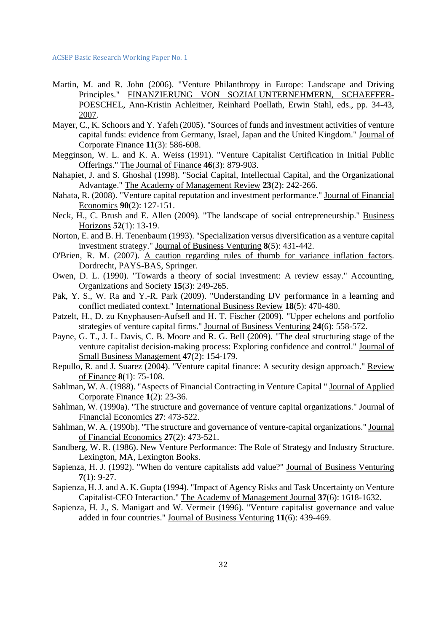- Martin, M. and R. John (2006). "Venture Philanthropy in Europe: Landscape and Driving Principles." FINANZIERUNG VON SOZIALUNTERNEHMERN, SCHAEFFER-POESCHEL, Ann-Kristin Achleitner, Reinhard Poellath, Erwin Stahl, eds., pp. 34-43, 2007.
- Mayer, C., K. Schoors and Y. Yafeh (2005). "Sources of funds and investment activities of venture capital funds: evidence from Germany, Israel, Japan and the United Kingdom." Journal of Corporate Finance **11**(3): 586-608.
- Megginson, W. L. and K. A. Weiss (1991). "Venture Capitalist Certification in Initial Public Offerings." The Journal of Finance **46**(3): 879-903.
- Nahapiet, J. and S. Ghoshal (1998). "Social Capital, Intellectual Capital, and the Organizational Advantage." The Academy of Management Review **23**(2): 242-266.
- Nahata, R. (2008). "Venture capital reputation and investment performance." Journal of Financial Economics **90**(2): 127-151.
- Neck, H., C. Brush and E. Allen (2009). "The landscape of social entrepreneurship." Business Horizons **52**(1): 13-19.
- Norton, E. and B. H. Tenenbaum (1993). "Specialization versus diversification as a venture capital investment strategy." Journal of Business Venturing **8**(5): 431-442.
- O'Brien, R. M. (2007). A caution regarding rules of thumb for variance inflation factors. Dordrecht, PAYS-BAS, Springer.
- Owen, D. L. (1990). "Towards a theory of social investment: A review essay." Accounting, Organizations and Society **15**(3): 249-265.
- Pak, Y. S., W. Ra and Y.-R. Park (2009). "Understanding IJV performance in a learning and conflict mediated context." International Business Review **18**(5): 470-480.
- Patzelt, H., D. zu Knyphausen-Aufsefl and H. T. Fischer (2009). "Upper echelons and portfolio strategies of venture capital firms." Journal of Business Venturing **24**(6): 558-572.
- Payne, G. T., J. L. Davis, C. B. Moore and R. G. Bell (2009). "The deal structuring stage of the venture capitalist decision-making process: Exploring confidence and control." Journal of Small Business Management **47**(2): 154-179.
- Repullo, R. and J. Suarez (2004). "Venture capital finance: A security design approach." Review of Finance **8**(1): 75-108.
- Sahlman, W. A. (1988). "Aspects of Financial Contracting in Venture Capital " Journal of Applied Corporate Finance **1**(2): 23-36.
- Sahlman, W. (1990a). "The structure and governance of venture capital organizations." Journal of Financial Economics **27**: 473-522.
- Sahlman, W. A. (1990b). "The structure and governance of venture-capital organizations." Journal of Financial Economics **27**(2): 473-521.
- Sandberg, W. R. (1986). New Venture Performance: The Role of Strategy and Industry Structure. Lexington, MA, Lexington Books.
- Sapienza, H. J. (1992). "When do venture capitalists add value?" Journal of Business Venturing **7**(1): 9-27.
- Sapienza, H. J. and A. K. Gupta (1994). "Impact of Agency Risks and Task Uncertainty on Venture Capitalist-CEO Interaction." The Academy of Management Journal **37**(6): 1618-1632.
- Sapienza, H. J., S. Manigart and W. Vermeir (1996). "Venture capitalist governance and value added in four countries." Journal of Business Venturing **11**(6): 439-469.